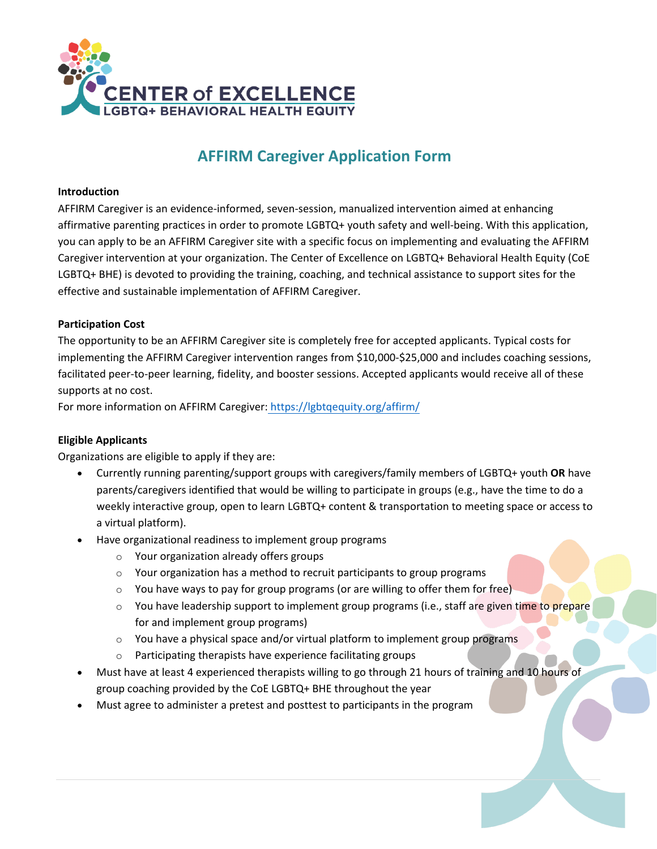

# **AFFIRM Caregiver Application Form**

#### **Introduction**

AFFIRM Caregiver is an evidence-informed, seven-session, manualized intervention aimed at enhancing affirmative parenting practices in order to promote LGBTQ+ youth safety and well-being. With this application, you can apply to be an AFFIRM Caregiver site with a specific focus on implementing and evaluating the AFFIRM Caregiver intervention at your organization. The Center of Excellence on LGBTQ+ Behavioral Health Equity (CoE LGBTQ+ BHE) is devoted to providing the training, coaching, and technical assistance to support sites for the effective and sustainable implementation of AFFIRM Caregiver.

### **Participation Cost**

The opportunity to be an AFFIRM Caregiver site is completely free for accepted applicants. Typical costs for implementing the AFFIRM Caregiver intervention ranges from \$10,000-\$25,000 and includes coaching sessions, facilitated peer-to-peer learning, fidelity, and booster sessions. Accepted applicants would receive all of these supports at no cost.

For more information on AFFIRM Caregiver: <https://lgbtqequity.org/affirm/>

### **Eligible Applicants**

Organizations are eligible to apply if they are:

- Currently running parenting/support groups with caregivers/family members of LGBTQ+ youth **OR** have parents/caregivers identified that would be willing to participate in groups (e.g., have the time to do a weekly interactive group, open to learn LGBTQ+ content & transportation to meeting space or access to a virtual platform).
- Have organizational readiness to implement group programs
	- o Your organization already offers groups
	- o Your organization has a method to recruit participants to group programs
	- $\circ$  You have ways to pay for group programs (or are willing to offer them for free)
	- $\circ$  You have leadership support to implement group programs (i.e., staff are given time to prepare for and implement group programs)
	- o You have a physical space and/or virtual platform to implement group programs
	- o Participating therapists have experience facilitating groups
- Must have at least 4 experienced therapists willing to go through 21 hours of training and 10 hours of group coaching provided by the CoE LGBTQ+ BHE throughout the year
- Must agree to administer a pretest and posttest to participants in the program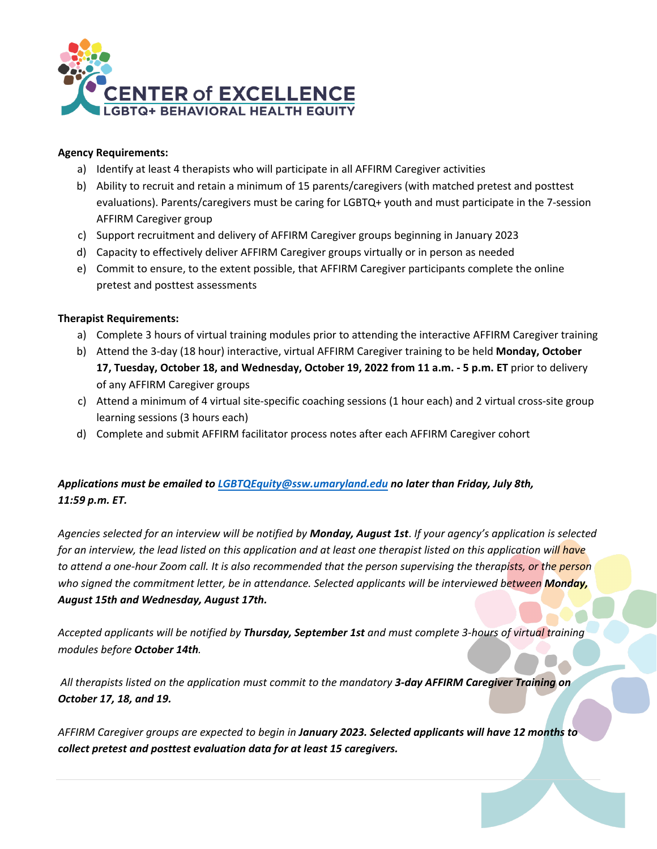

### **Agency Requirements:**

- a) Identify at least 4 therapists who will participate in all AFFIRM Caregiver activities
- b) Ability to recruit and retain a minimum of 15 parents/caregivers (with matched pretest and posttest evaluations). Parents/caregivers must be caring for LGBTQ+ youth and must participate in the 7-session AFFIRM Caregiver group
- c) Support recruitment and delivery of AFFIRM Caregiver groups beginning in January 2023
- d) Capacity to effectively deliver AFFIRM Caregiver groups virtually or in person as needed
- e) Commit to ensure, to the extent possible, that AFFIRM Caregiver participants complete the online pretest and posttest assessments

## **Therapist Requirements:**

- a) Complete 3 hours of virtual training modules prior to attending the interactive AFFIRM Caregiver training
- b) Attend the 3-day (18 hour) interactive, virtual AFFIRM Caregiver training to be held **Monday, October 17, Tuesday, October 18, and Wednesday, October 19, 2022 from 11 a.m. - 5 p.m. ET** prior to delivery of any AFFIRM Caregiver groups
- c) Attend a minimum of 4 virtual site-specific coaching sessions (1 hour each) and 2 virtual cross-site group learning sessions (3 hours each)
- d) Complete and submit AFFIRM facilitator process notes after each AFFIRM Caregiver cohort

## *Applications must be emailed to [LGBTQEquity@ssw.umaryland.edu](mailto:LGBTQEquity@ssw.umaryland.edu) no later than Friday, July 8th, 11:59 p.m. ET.*

*Agencies selected for an interview will be notified by Monday, August 1st*. *If your agency's application is selected*  for an interview, the lead listed on this application and at least one therapist listed on this application will have to attend a one-hour Zoom call. It is also recommended that the person supervising the therapists, or the person *who signed the commitment letter, be in attendance. Selected applicants will be interviewed between Monday, August 15th and Wednesday, August 17th.*

*Accepted applicants will be notified by Thursday, September 1st and must complete 3-hours of virtual training modules before October 14th.* 

*All therapists listed on the application must commit to the mandatory 3-day AFFIRM Caregiver Training on October 17, 18, and 19.* 

*AFFIRM Caregiver groups are expected to begin in January 2023. Selected applicants will have 12 months to collect pretest and posttest evaluation data for at least 15 caregivers.*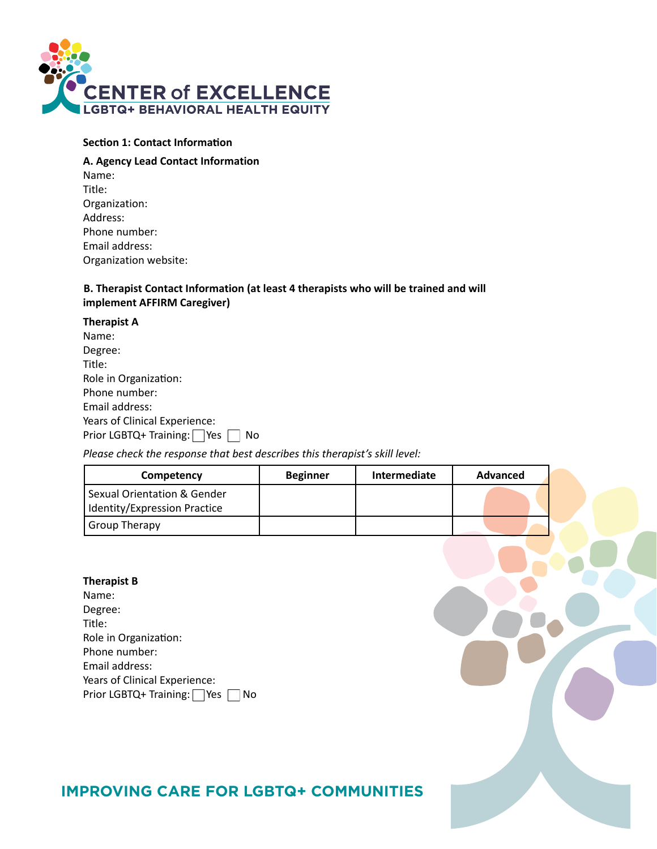

#### **Section 1: Contact Information**

## **A. Agency Lead Contact Information** Name: Title: Organization: Address: Phone number: Email address: Organization website:

### **B. Therapist Contact Information (at least 4 therapists who will be trained and will implement AFFIRM Caregiver)**

| Prior LGBTQ+ Training: $\Box$ Yes $\Box$ |
|------------------------------------------|

#### *Please check the response that best describes this therapist's skill level:*

| Competency                                                                                                                                                                  | <b>Beginner</b> | Intermediate | <b>Advanced</b> |
|-----------------------------------------------------------------------------------------------------------------------------------------------------------------------------|-----------------|--------------|-----------------|
| <b>Sexual Orientation &amp; Gender</b><br>Identity/Expression Practice                                                                                                      |                 |              |                 |
| <b>Group Therapy</b>                                                                                                                                                        |                 |              |                 |
| <b>Therapist B</b><br>Name:<br>Degree:<br>Title:<br>Role in Organization:<br>Phone number:<br>Email address:<br>Years of Clinical Experience:<br>Prior LGBTQ+ Training: Ves | No              |              |                 |

## **IMPROVING CARE FOR LGBTQ+ COMMUNITIES**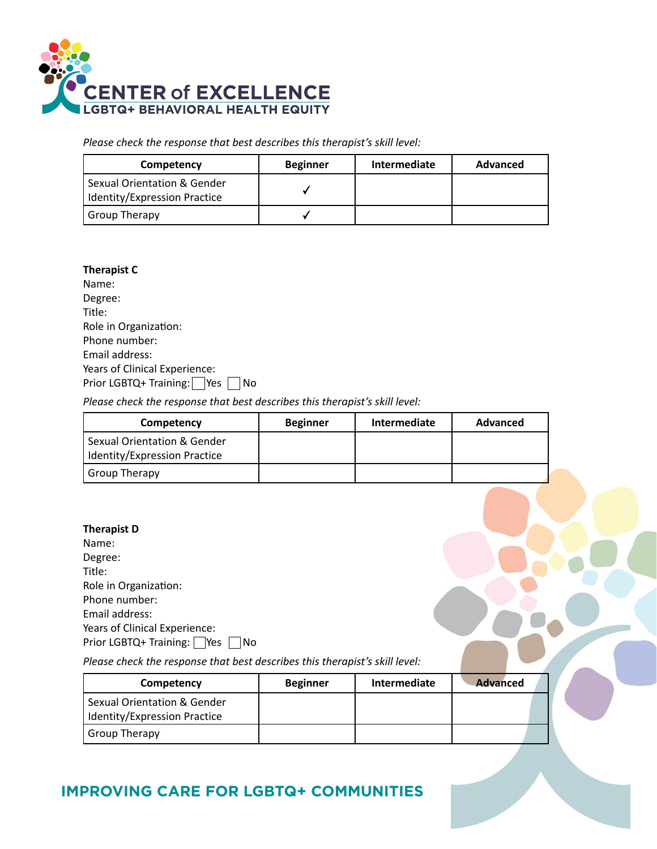

*Please check the response that best describes this therapist's skill level:*

| Competency                                                             | <b>Beginner</b> | Intermediate | Advanced |
|------------------------------------------------------------------------|-----------------|--------------|----------|
| <b>Sexual Orientation &amp; Gender</b><br>Identity/Expression Practice |                 |              |          |
| ' Group Therapy                                                        |                 |              |          |

| <b>Therapist C</b>            |
|-------------------------------|
| Name:                         |
| Degree:                       |
| Title:                        |
| Role in Organization:         |
| Phone number:                 |
| <b>Email address:</b>         |
| Years of Clinical Experience: |
| Prior LGBTQ+ Training:<br>Yes |

*Please check the response that best describes this therapist's skill level:*

| Competency                                                  | <b>Beginner</b> | Intermediate | Advanced |
|-------------------------------------------------------------|-----------------|--------------|----------|
| Sexual Orientation & Gender<br>Identity/Expression Practice |                 |              |          |
| ' Group Therapy                                             |                 |              |          |

| <b>Therapist D</b>                   |
|--------------------------------------|
| Name:                                |
| Degree:                              |
| Title:                               |
| Role in Organization:                |
| Phone number:                        |
| <b>Email address:</b>                |
| Years of Clinical Experience:        |
| Prior LGBTQ+ Training:<br><b>Yes</b> |

*Please check the response that best describes this therapist's skill level:*

| Competency                                                  | <b>Beginner</b> | <b>Intermediate</b> | <b>Advanced</b> |
|-------------------------------------------------------------|-----------------|---------------------|-----------------|
| Sexual Orientation & Gender<br>Identity/Expression Practice |                 |                     |                 |
| <b>Group Therapy</b>                                        |                 |                     |                 |

## **IMPROVING CARE FOR LGBTQ+ COMMUNITIES**